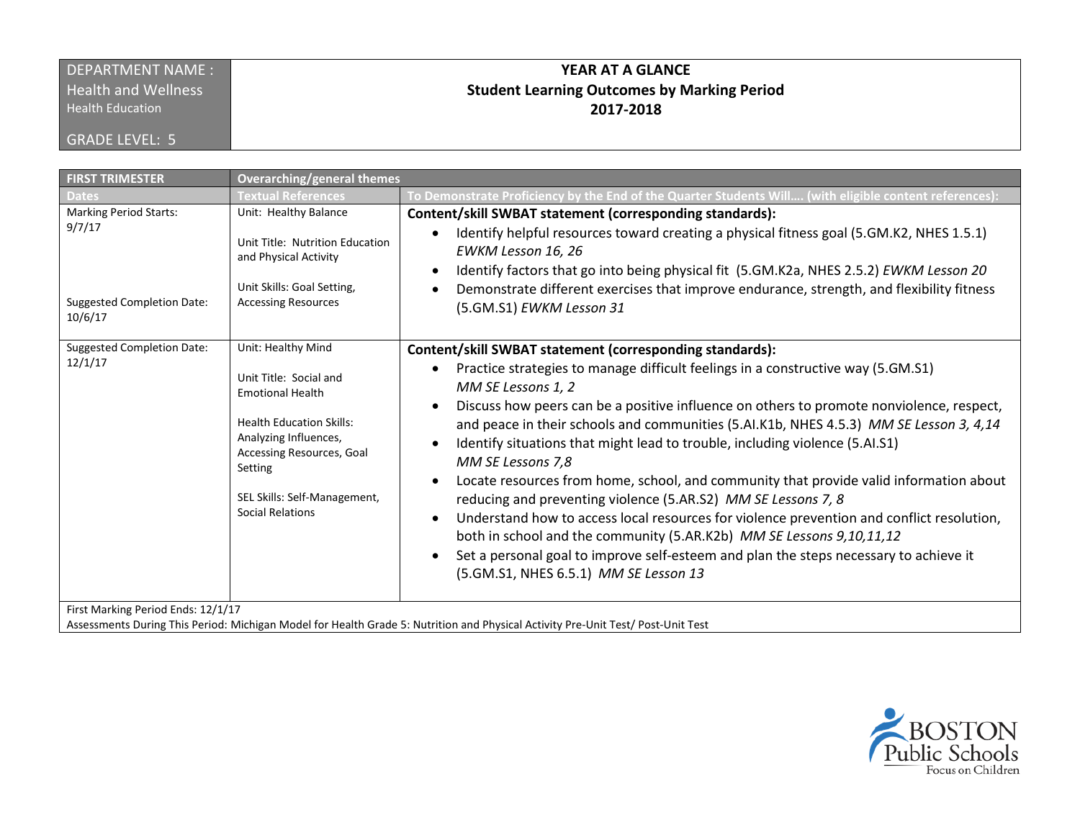# DEPARTMENT NAME :

**Health and Wellness** 

Health Education

GRADE LEVEL: 5

## **YEAR AT A GLANCE Student Learning Outcomes by Marking Period 2017-2018**

| <b>FIRST TRIMESTER</b>                                                                  | <b>Overarching/general themes</b>                                                                                                                                                                                                      |                                                                                                                                                                                                                                                                                                                                                                                                                                                                                                                                                                                                                                                                                                                                                                                                                                                                                                                                                           |
|-----------------------------------------------------------------------------------------|----------------------------------------------------------------------------------------------------------------------------------------------------------------------------------------------------------------------------------------|-----------------------------------------------------------------------------------------------------------------------------------------------------------------------------------------------------------------------------------------------------------------------------------------------------------------------------------------------------------------------------------------------------------------------------------------------------------------------------------------------------------------------------------------------------------------------------------------------------------------------------------------------------------------------------------------------------------------------------------------------------------------------------------------------------------------------------------------------------------------------------------------------------------------------------------------------------------|
|                                                                                         | <b>Textual References</b>                                                                                                                                                                                                              | To Demonstrate Proficiency by the End of the Quarter Students Will (with eligible content references):                                                                                                                                                                                                                                                                                                                                                                                                                                                                                                                                                                                                                                                                                                                                                                                                                                                    |
| <b>Marking Period Starts:</b><br>9/7/17<br><b>Suggested Completion Date:</b><br>10/6/17 | Unit: Healthy Balance<br>Unit Title: Nutrition Education<br>and Physical Activity<br>Unit Skills: Goal Setting,<br><b>Accessing Resources</b>                                                                                          | Content/skill SWBAT statement (corresponding standards):<br>Identify helpful resources toward creating a physical fitness goal (5.GM.K2, NHES 1.5.1)<br>$\bullet$<br>EWKM Lesson 16, 26<br>Identify factors that go into being physical fit (5.GM.K2a, NHES 2.5.2) EWKM Lesson 20<br>$\bullet$<br>Demonstrate different exercises that improve endurance, strength, and flexibility fitness<br>$\bullet$<br>(5.GM.S1) EWKM Lesson 31                                                                                                                                                                                                                                                                                                                                                                                                                                                                                                                      |
| <b>Suggested Completion Date:</b><br>12/1/17                                            | Unit: Healthy Mind<br>Unit Title: Social and<br><b>Emotional Health</b><br><b>Health Education Skills:</b><br>Analyzing Influences,<br>Accessing Resources, Goal<br>Setting<br>SEL Skills: Self-Management,<br><b>Social Relations</b> | Content/skill SWBAT statement (corresponding standards):<br>Practice strategies to manage difficult feelings in a constructive way (5.GM.S1)<br>MM SE Lessons 1, 2<br>Discuss how peers can be a positive influence on others to promote nonviolence, respect,<br>$\bullet$<br>and peace in their schools and communities (5.Al.K1b, NHES 4.5.3) MM SE Lesson 3, 4,14<br>Identify situations that might lead to trouble, including violence (5.AI.S1)<br>MM SE Lessons 7,8<br>Locate resources from home, school, and community that provide valid information about<br>reducing and preventing violence (5.AR.S2) MM SE Lessons 7, 8<br>Understand how to access local resources for violence prevention and conflict resolution,<br>$\bullet$<br>both in school and the community (5.AR.K2b) MM SE Lessons 9,10,11,12<br>Set a personal goal to improve self-esteem and plan the steps necessary to achieve it<br>(5.GM.S1, NHES 6.5.1) MM SE Lesson 13 |

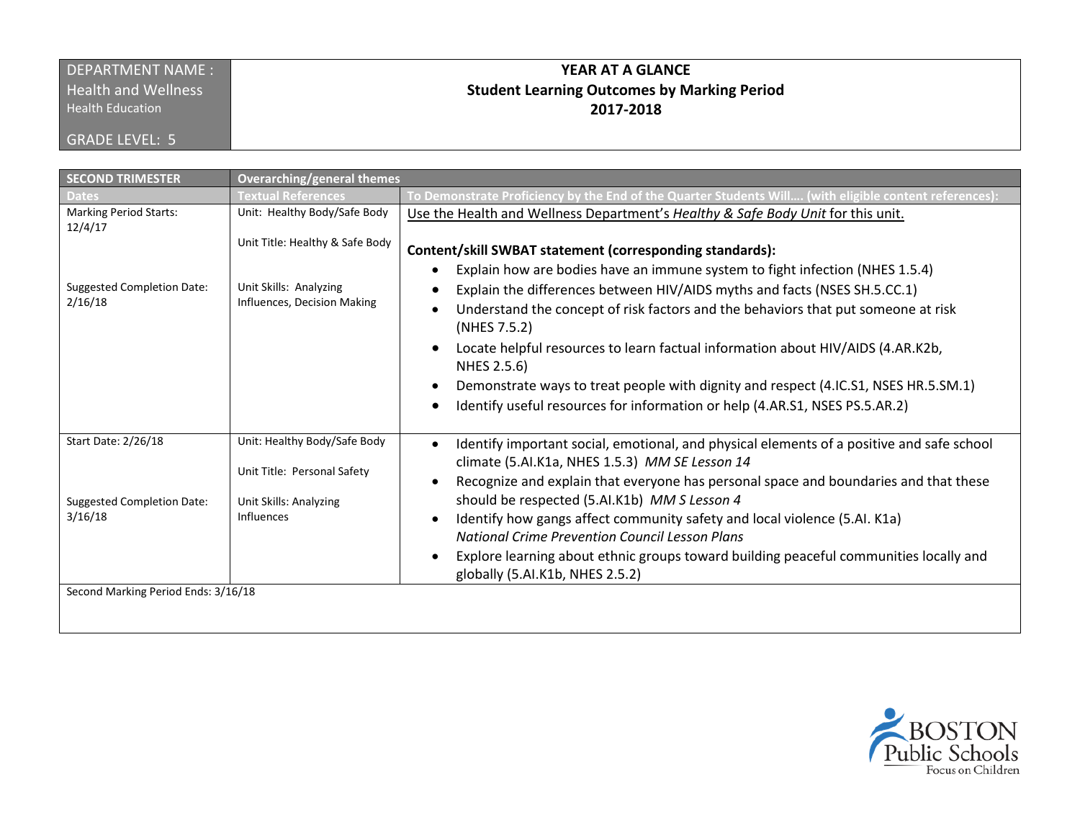### DEPARTMENT NAME : **Health and Wellness**

Health Education

GRADE LEVEL: 5

# **YEAR AT A GLANCE Student Learning Outcomes by Marking Period 2017-2018**

| <b>SECOND TRIMESTER</b>                                             | <b>Overarching/general themes</b>                                                                   |                                                                                                                                                                                                                                                                                                                                                                                                                                                                                                                                                       |  |  |
|---------------------------------------------------------------------|-----------------------------------------------------------------------------------------------------|-------------------------------------------------------------------------------------------------------------------------------------------------------------------------------------------------------------------------------------------------------------------------------------------------------------------------------------------------------------------------------------------------------------------------------------------------------------------------------------------------------------------------------------------------------|--|--|
| <b>Dates</b>                                                        | <b>Textual References</b>                                                                           | To Demonstrate Proficiency by the End of the Quarter Students Will (with eligible content references):                                                                                                                                                                                                                                                                                                                                                                                                                                                |  |  |
| <b>Marking Period Starts:</b><br>12/4/17                            | Unit: Healthy Body/Safe Body                                                                        | Use the Health and Wellness Department's Healthy & Safe Body Unit for this unit.                                                                                                                                                                                                                                                                                                                                                                                                                                                                      |  |  |
|                                                                     | Unit Title: Healthy & Safe Body                                                                     | Content/skill SWBAT statement (corresponding standards):                                                                                                                                                                                                                                                                                                                                                                                                                                                                                              |  |  |
| <b>Suggested Completion Date:</b><br>2/16/18                        | Unit Skills: Analyzing<br>Influences, Decision Making                                               | Explain how are bodies have an immune system to fight infection (NHES 1.5.4)<br>Explain the differences between HIV/AIDS myths and facts (NSES SH.5.CC.1)<br>Understand the concept of risk factors and the behaviors that put someone at risk<br>(NHES 7.5.2)<br>Locate helpful resources to learn factual information about HIV/AIDS (4.AR.K2b,<br>NHES 2.5.6)<br>Demonstrate ways to treat people with dignity and respect (4.IC.S1, NSES HR.5.SM.1)<br>Identify useful resources for information or help (4.AR.S1, NSES PS.5.AR.2)                |  |  |
| Start Date: 2/26/18<br><b>Suggested Completion Date:</b><br>3/16/18 | Unit: Healthy Body/Safe Body<br>Unit Title: Personal Safety<br>Unit Skills: Analyzing<br>Influences | Identify important social, emotional, and physical elements of a positive and safe school<br>climate (5.AI.K1a, NHES 1.5.3) MM SE Lesson 14<br>Recognize and explain that everyone has personal space and boundaries and that these<br>should be respected (5.AI.K1b) MM S Lesson 4<br>Identify how gangs affect community safety and local violence (5.AI. K1a)<br><b>National Crime Prevention Council Lesson Plans</b><br>Explore learning about ethnic groups toward building peaceful communities locally and<br>globally (5.AI.K1b, NHES 2.5.2) |  |  |
| Second Marking Period Ends: 3/16/18                                 |                                                                                                     |                                                                                                                                                                                                                                                                                                                                                                                                                                                                                                                                                       |  |  |